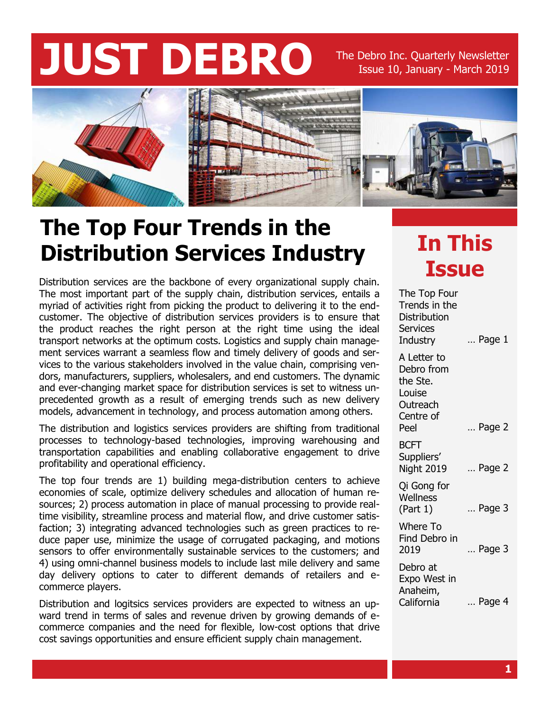# **JUST DEBRO** The Debro Inc. Quarterly Newsletter

Issue 10, January - March 2019



#### **The Top Four Trends in the Distribution Services Industry**

Distribution services are the backbone of every organizational supply chain. The most important part of the supply chain, distribution services, entails a myriad of activities right from picking the product to delivering it to the endcustomer. The objective of distribution services providers is to ensure that the product reaches the right person at the right time using the ideal transport networks at the optimum costs. Logistics and supply chain management services warrant a seamless flow and timely delivery of goods and services to the various stakeholders involved in the value chain, comprising vendors, manufacturers, suppliers, wholesalers, and end customers. The dynamic and ever-changing market space for distribution services is set to witness unprecedented growth as a result of emerging trends such as new delivery models, advancement in technology, and process automation among others.

The distribution and logistics services providers are shifting from traditional processes to technology-based technologies, improving warehousing and transportation capabilities and enabling collaborative engagement to drive profitability and operational efficiency.

The top four trends are 1) building mega-distribution centers to achieve economies of scale, optimize delivery schedules and allocation of human resources; 2) process automation in place of manual processing to provide realtime visibility, streamline process and material flow, and drive customer satisfaction; 3) integrating advanced technologies such as green practices to reduce paper use, minimize the usage of corrugated packaging, and motions sensors to offer environmentally sustainable services to the customers; and 4) using omni-channel business models to include last mile delivery and same day delivery options to cater to different demands of retailers and ecommerce players.

Distribution and logitsics services providers are expected to witness an upward trend in terms of sales and revenue driven by growing demands of ecommerce companies and the need for flexible, low-cost options that drive cost savings opportunities and ensure efficient supply chain management.

#### **In This Issue**

| The Top Four<br>Trends in the<br><b>Distribution</b><br><b>Services</b><br>Industry | Page 1          |
|-------------------------------------------------------------------------------------|-----------------|
| A Letter to<br>Debro from<br>the Ste.<br>Louise<br>Outreach                         |                 |
| Centre of<br>Peel                                                                   | Page 2          |
| <b>BCFT</b><br>Suppliers'<br>Night 2019                                             | $\ldots$ Page 2 |
| Qi Gong for<br>Wellness<br>(Part 1)                                                 | Page 3          |
| <b>Where To</b><br>Find Debro in<br>2019                                            | Page 3          |
| Debro at<br>Expo West in<br>Anaheim,<br>California                                  | Page 4          |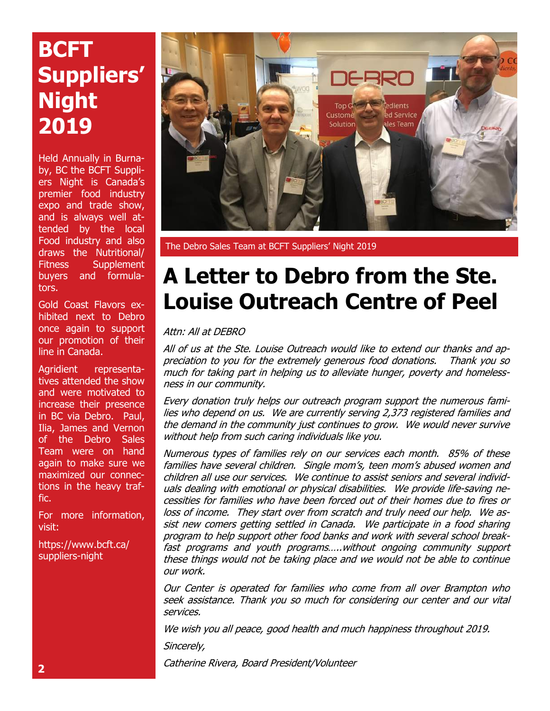#### **BCFT Suppliers' Night 2019**

Held Annually in Burnaby, BC the BCFT Suppliers Night is Canada's premier food industry expo and trade show, and is always well attended by the local Food industry and also draws the Nutritional/ Fitness Supplement buyers and formulators.

Gold Coast Flavors exhibited next to Debro once again to support our promotion of their line in Canada.

Agridient representatives attended the show and were motivated to increase their presence in BC via Debro. Paul, Ilia, James and Vernon of the Debro Sales Team were on hand again to make sure we maximized our connections in the heavy traffic.

For more information, visit:

https://www.bcft.ca/ suppliers-night



The Debro Sales Team at BCFT Suppliers' Night 2019

#### **A Letter to Debro from the Ste. Louise Outreach Centre of Peel**

Attn: All at DEBRO

All of us at the Ste. Louise Outreach would like to extend our thanks and appreciation to you for the extremely generous food donations. Thank you so much for taking part in helping us to alleviate hunger, poverty and homelessness in our community.

Every donation truly helps our outreach program support the numerous families who depend on us. We are currently serving 2,373 registered families and the demand in the community just continues to grow. We would never survive without help from such caring individuals like you.

Numerous types of families rely on our services each month. 85% of these families have several children. Single mom's, teen mom's abused women and children all use our services. We continue to assist seniors and several individuals dealing with emotional or physical disabilities. We provide life-saving necessities for families who have been forced out of their homes due to fires or loss of income. They start over from scratch and truly need our help. We assist new comers getting settled in Canada. We participate in a food sharing program to help support other food banks and work with several school breakfast programs and youth programs…..without ongoing community support these things would not be taking place and we would not be able to continue our work.

Our Center is operated for families who come from all over Brampton who seek assistance. Thank you so much for considering our center and our vital services.

We wish you all peace, good health and much happiness throughout 2019.

Sincerely,

Catherine Rivera, Board President/Volunteer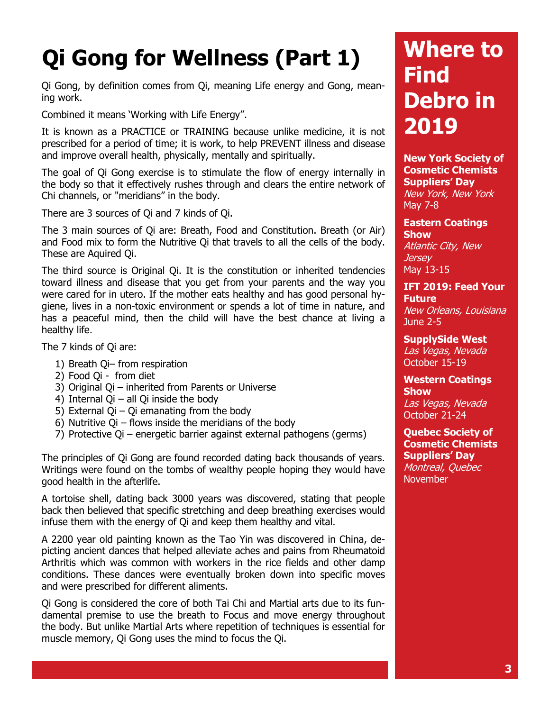## **Qi Gong for Wellness (Part 1)**

Qi Gong, by definition comes from Qi, meaning Life energy and Gong, meaning work.

Combined it means 'Working with Life Energy".

It is known as a PRACTICE or TRAINING because unlike medicine, it is not prescribed for a period of time; it is work, to help PREVENT illness and disease and improve overall health, physically, mentally and spiritually.

The goal of Qi Gong exercise is to stimulate the flow of energy internally in the body so that it effectively rushes through and clears the entire network of Chi channels, or "meridians" in the body.

There are 3 sources of Qi and 7 kinds of Qi.

The 3 main sources of Qi are: Breath, Food and Constitution. Breath (or Air) and Food mix to form the Nutritive Qi that travels to all the cells of the body. These are Aquired Qi.

The third source is Original Qi. It is the constitution or inherited tendencies toward illness and disease that you get from your parents and the way you were cared for in utero. If the mother eats healthy and has good personal hygiene, lives in a non-toxic environment or spends a lot of time in nature, and has a peaceful mind, then the child will have the best chance at living a healthy life.

The 7 kinds of Qi are:

- 1) Breath Qi– from respiration
- 2) Food Qi from diet
- 3) Original Qi inherited from Parents or Universe
- 4) Internal Qi all Qi inside the body
- 5) External Qi Qi emanating from the body
- 6) Nutritive  $Qi$  flows inside the meridians of the body
- 7) Protective Qi energetic barrier against external pathogens (germs)

The principles of Qi Gong are found recorded dating back thousands of years. Writings were found on the tombs of wealthy people hoping they would have good health in the afterlife.

A tortoise shell, dating back 3000 years was discovered, stating that people back then believed that specific stretching and deep breathing exercises would infuse them with the energy of Qi and keep them healthy and vital.

A 2200 year old painting known as the Tao Yin was discovered in China, depicting ancient dances that helped alleviate aches and pains from Rheumatoid Arthritis which was common with workers in the rice fields and other damp conditions. These dances were eventually broken down into specific moves and were prescribed for different aliments.

Qi Gong is considered the core of both Tai Chi and Martial arts due to its fundamental premise to use the breath to Focus and move energy throughout the body. But unlike Martial Arts where repetition of techniques is essential for muscle memory, Qi Gong uses the mind to focus the Qi.

#### **Where to Find Debro in 2019**

**New York Society of Cosmetic Chemists Suppliers' Day** New York, New York May 7-8

**Eastern Coatings Show Atlantic City, New** *Jersey* May 13-15

#### **IFT 2019: Feed Your Future** New Orleans, Louisiana

June 2-5

**SupplySide West** Las Vegas, Nevada October 15-19

**Western Coatings Show** Las Vegas, Nevada October 21-24

**Quebec Society of Cosmetic Chemists Suppliers' Day** Montreal, Quebec November